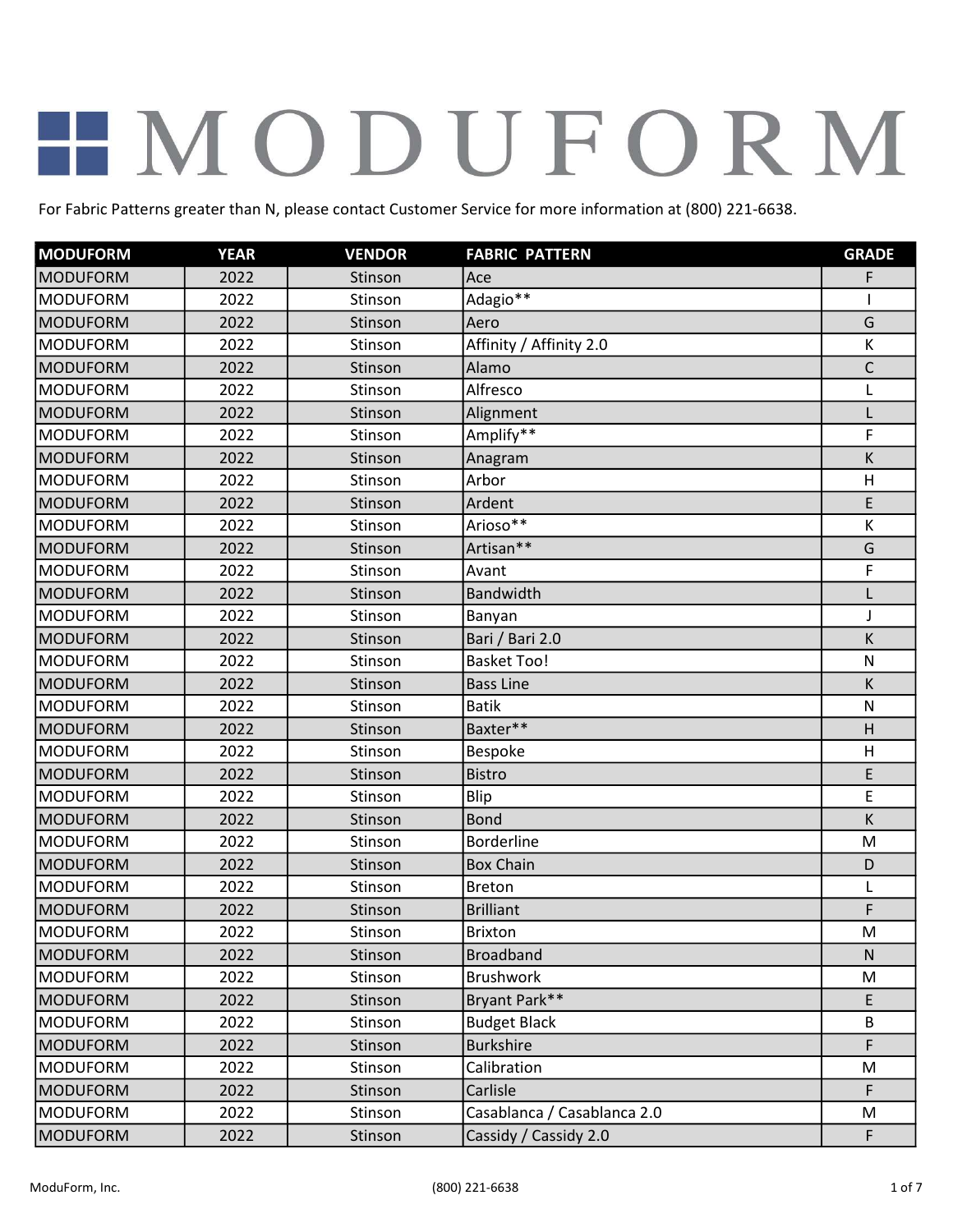| <b>MODUFORM</b> | <b>YEAR</b> | <b>VENDOR</b> | <b>FABRIC PATTERN</b>       | <b>GRADE</b> |
|-----------------|-------------|---------------|-----------------------------|--------------|
| <b>MODUFORM</b> | 2022        | Stinson       | Ace                         | F            |
| <b>MODUFORM</b> | 2022        | Stinson       | Adagio**                    | 1            |
| <b>MODUFORM</b> | 2022        | Stinson       | Aero                        | G            |
| <b>MODUFORM</b> | 2022        | Stinson       | Affinity / Affinity 2.0     | К            |
| <b>MODUFORM</b> | 2022        | Stinson       | Alamo                       | $\mathsf{C}$ |
| <b>MODUFORM</b> | 2022        | Stinson       | Alfresco                    | L            |
| <b>MODUFORM</b> | 2022        | Stinson       | Alignment                   | L            |
| <b>MODUFORM</b> | 2022        | Stinson       | Amplify**                   | F            |
| <b>MODUFORM</b> | 2022        | Stinson       | Anagram                     | K            |
| MODUFORM        | 2022        | Stinson       | Arbor                       | H            |
| <b>MODUFORM</b> | 2022        | Stinson       | Ardent                      | E            |
| <b>MODUFORM</b> | 2022        | Stinson       | Arioso**                    | К            |
| <b>MODUFORM</b> | 2022        | Stinson       | Artisan**                   | G            |
| <b>MODUFORM</b> | 2022        | Stinson       | Avant                       | F            |
| <b>MODUFORM</b> | 2022        | Stinson       | Bandwidth                   | L            |
| <b>MODUFORM</b> | 2022        | Stinson       | Banyan                      | J            |
| <b>MODUFORM</b> | 2022        | Stinson       | Bari / Bari 2.0             | K            |
| <b>MODUFORM</b> | 2022        | Stinson       | <b>Basket Too!</b>          | $\mathsf{N}$ |
| <b>MODUFORM</b> | 2022        | Stinson       | <b>Bass Line</b>            | К            |
| <b>MODUFORM</b> | 2022        | Stinson       | <b>Batik</b>                | $\mathsf{N}$ |
| <b>MODUFORM</b> | 2022        | Stinson       | Baxter**                    | H            |
| <b>MODUFORM</b> | 2022        | Stinson       | <b>Bespoke</b>              | H            |
| <b>MODUFORM</b> | 2022        | Stinson       | <b>Bistro</b>               | E            |
| <b>MODUFORM</b> | 2022        | Stinson       | Blip                        | E            |
| <b>MODUFORM</b> | 2022        | Stinson       | <b>Bond</b>                 | К            |
| <b>MODUFORM</b> | 2022        | Stinson       | <b>Borderline</b>           | M            |
| <b>MODUFORM</b> | 2022        | Stinson       | <b>Box Chain</b>            | D            |
| <b>MODUFORM</b> | 2022        | Stinson       | <b>Breton</b>               | L            |
| <b>MODUFORM</b> | 2022        | Stinson       | <b>Brilliant</b>            | F            |
| <b>MODUFORM</b> | 2022        | Stinson       | Brixton                     | M            |
| MODUFORM        | 2022        | Stinson       | <b>Broadband</b>            | $\mathsf{N}$ |
| <b>MODUFORM</b> | 2022        | Stinson       | Brushwork                   | M            |
| <b>MODUFORM</b> | 2022        | Stinson       | Bryant Park**               | E            |
| <b>MODUFORM</b> | 2022        | Stinson       | <b>Budget Black</b>         | В            |
| <b>MODUFORM</b> | 2022        | Stinson       | <b>Burkshire</b>            | F            |
| <b>MODUFORM</b> | 2022        | Stinson       | Calibration                 | M            |
| <b>MODUFORM</b> | 2022        | Stinson       | Carlisle                    | F            |
| <b>MODUFORM</b> | 2022        | Stinson       | Casablanca / Casablanca 2.0 | M            |
| <b>MODUFORM</b> | 2022        | Stinson       | Cassidy / Cassidy 2.0       | F            |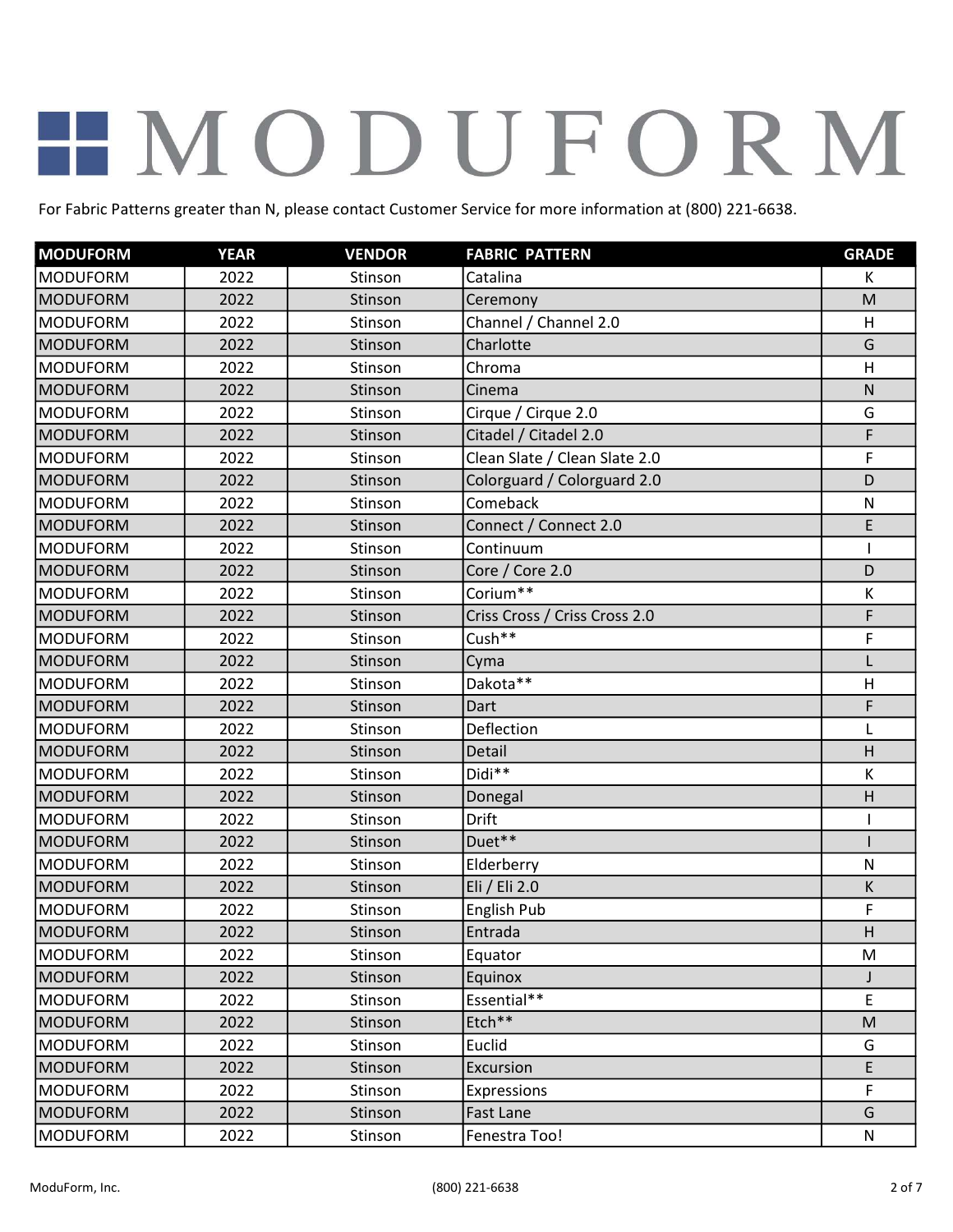| <b>MODUFORM</b> | <b>YEAR</b> | <b>VENDOR</b> | <b>FABRIC PATTERN</b>         | <b>GRADE</b> |
|-----------------|-------------|---------------|-------------------------------|--------------|
| <b>MODUFORM</b> | 2022        | Stinson       | Catalina                      | K            |
| <b>MODUFORM</b> | 2022        | Stinson       | Ceremony                      | M            |
| <b>MODUFORM</b> | 2022        | Stinson       | Channel / Channel 2.0         | H            |
| <b>MODUFORM</b> | 2022        | Stinson       | Charlotte                     | G            |
| <b>MODUFORM</b> | 2022        | Stinson       | Chroma                        | H            |
| <b>MODUFORM</b> | 2022        | Stinson       | Cinema                        | ${\sf N}$    |
| <b>MODUFORM</b> | 2022        | Stinson       | Cirque / Cirque 2.0           | G            |
| <b>MODUFORM</b> | 2022        | Stinson       | Citadel / Citadel 2.0         | F            |
| <b>MODUFORM</b> | 2022        | Stinson       | Clean Slate / Clean Slate 2.0 | F            |
| <b>MODUFORM</b> | 2022        | Stinson       | Colorguard / Colorguard 2.0   | D            |
| <b>MODUFORM</b> | 2022        | Stinson       | Comeback                      | $\mathsf{N}$ |
| <b>MODUFORM</b> | 2022        | Stinson       | Connect / Connect 2.0         | E            |
| <b>MODUFORM</b> | 2022        | Stinson       | Continuum                     | T            |
| <b>MODUFORM</b> | 2022        | Stinson       | Core / Core 2.0               | D            |
| <b>MODUFORM</b> | 2022        | Stinson       | Corium**                      | К            |
| <b>MODUFORM</b> | 2022        | Stinson       | Criss Cross / Criss Cross 2.0 | F            |
| <b>MODUFORM</b> | 2022        | Stinson       | Cush**                        | F            |
| <b>MODUFORM</b> | 2022        | Stinson       | Cyma                          | L            |
| <b>MODUFORM</b> | 2022        | Stinson       | Dakota**                      | H            |
| <b>MODUFORM</b> | 2022        | Stinson       | Dart                          | F            |
| <b>MODUFORM</b> | 2022        | Stinson       | Deflection                    | L            |
| <b>MODUFORM</b> | 2022        | Stinson       | Detail                        | H            |
| <b>MODUFORM</b> | 2022        | Stinson       | Didi**                        | К            |
| <b>MODUFORM</b> | 2022        | Stinson       | Donegal                       | H            |
| <b>MODUFORM</b> | 2022        | Stinson       | <b>Drift</b>                  |              |
| <b>MODUFORM</b> | 2022        | Stinson       | Duet**                        | $\mathbf{I}$ |
| <b>MODUFORM</b> | 2022        | Stinson       | Elderberry                    | $\mathsf{N}$ |
| <b>MODUFORM</b> | 2022        | Stinson       | Eli / Eli 2.0                 | Κ            |
| <b>MODUFORM</b> | 2022        | Stinson       | English Pub                   | F            |
| MODUFORM        | 2022        | Stinson       | Entrada                       | H            |
| <b>MODUFORM</b> | 2022        | Stinson       | Equator                       | M            |
| <b>MODUFORM</b> | 2022        | Stinson       | Equinox                       | J            |
| <b>MODUFORM</b> | 2022        | Stinson       | Essential**                   | E            |
| <b>MODUFORM</b> | 2022        | Stinson       | Etch**                        | ${\sf M}$    |
| <b>MODUFORM</b> | 2022        | Stinson       | Euclid                        | G            |
| <b>MODUFORM</b> | 2022        | Stinson       | Excursion                     | E            |
| <b>MODUFORM</b> | 2022        | Stinson       | <b>Expressions</b>            | F            |
| <b>MODUFORM</b> | 2022        | Stinson       | <b>Fast Lane</b>              | G            |
| <b>MODUFORM</b> | 2022        | Stinson       | Fenestra Too!                 | N            |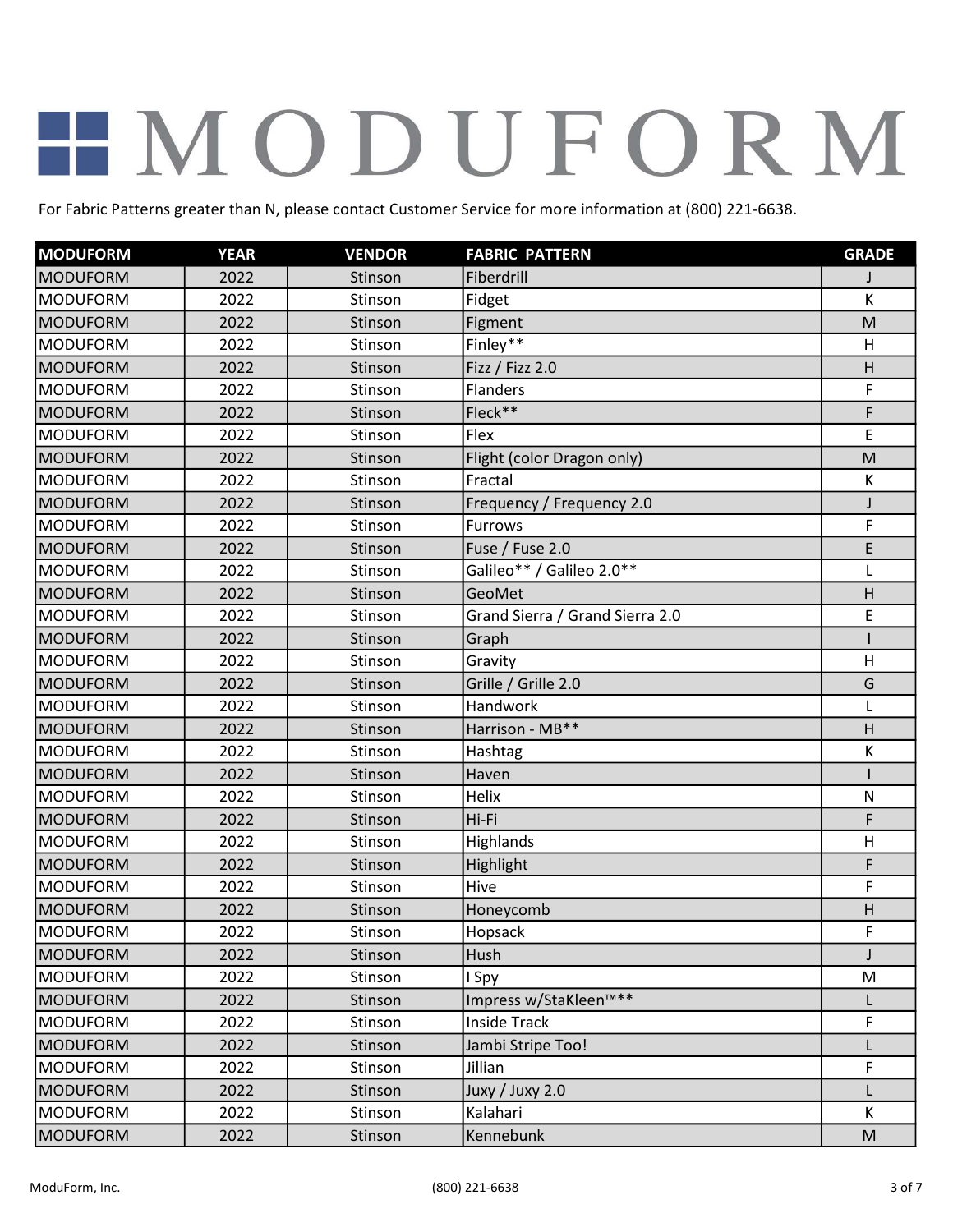| <b>MODUFORM</b> | <b>YEAR</b> | <b>VENDOR</b> | <b>FABRIC PATTERN</b>           | <b>GRADE</b> |
|-----------------|-------------|---------------|---------------------------------|--------------|
| <b>MODUFORM</b> | 2022        | Stinson       | Fiberdrill                      |              |
| <b>MODUFORM</b> | 2022        | Stinson       | Fidget                          | К            |
| <b>MODUFORM</b> | 2022        | Stinson       | Figment                         | M            |
| <b>MODUFORM</b> | 2022        | Stinson       | Finley**                        | H            |
| <b>MODUFORM</b> | 2022        | Stinson       | Fizz / Fizz 2.0                 | H            |
| <b>MODUFORM</b> | 2022        | Stinson       | <b>Flanders</b>                 | F            |
| <b>MODUFORM</b> | 2022        | Stinson       | Fleck**                         | F            |
| <b>MODUFORM</b> | 2022        | Stinson       | Flex                            | E            |
| <b>MODUFORM</b> | 2022        | Stinson       | Flight (color Dragon only)      | M            |
| <b>MODUFORM</b> | 2022        | Stinson       | Fractal                         | К            |
| <b>MODUFORM</b> | 2022        | Stinson       | Frequency / Frequency 2.0       | J            |
| <b>MODUFORM</b> | 2022        | Stinson       | Furrows                         | F            |
| <b>MODUFORM</b> | 2022        | Stinson       | Fuse / Fuse 2.0                 | E            |
| <b>MODUFORM</b> | 2022        | Stinson       | Galileo** / Galileo 2.0**       | L            |
| <b>MODUFORM</b> | 2022        | Stinson       | GeoMet                          | H            |
| <b>MODUFORM</b> | 2022        | Stinson       | Grand Sierra / Grand Sierra 2.0 | E            |
| <b>MODUFORM</b> | 2022        | Stinson       | Graph                           |              |
| <b>MODUFORM</b> | 2022        | Stinson       | Gravity                         | H            |
| <b>MODUFORM</b> | 2022        | Stinson       | Grille / Grille 2.0             | G            |
| <b>MODUFORM</b> | 2022        | Stinson       | Handwork                        | L            |
| <b>MODUFORM</b> | 2022        | Stinson       | Harrison - MB**                 | H            |
| <b>MODUFORM</b> | 2022        | Stinson       | Hashtag                         | К            |
| <b>MODUFORM</b> | 2022        | Stinson       | Haven                           |              |
| MODUFORM        | 2022        | Stinson       | Helix                           | $\mathsf{N}$ |
| <b>MODUFORM</b> | 2022        | Stinson       | Hi-Fi                           | F            |
| <b>MODUFORM</b> | 2022        | Stinson       | Highlands                       | H            |
| <b>MODUFORM</b> | 2022        | Stinson       | Highlight                       | F            |
| <b>MODUFORM</b> | 2022        | Stinson       | Hive                            | F            |
| <b>MODUFORM</b> | 2022        | Stinson       | Honeycomb                       | H            |
| <b>MODUFORM</b> | 2022        | Stinson       | Hopsack                         | F            |
| MODUFORM        | 2022        | Stinson       | Hush                            | J            |
| <b>MODUFORM</b> | 2022        | Stinson       | I Spy                           | M            |
| <b>MODUFORM</b> | 2022        | Stinson       | Impress w/StaKleen™**           | L            |
| <b>MODUFORM</b> | 2022        | Stinson       | <b>Inside Track</b>             | F            |
| <b>MODUFORM</b> | 2022        | Stinson       | Jambi Stripe Too!               |              |
| <b>MODUFORM</b> | 2022        | Stinson       | Jillian                         | F            |
| <b>MODUFORM</b> | 2022        | Stinson       | Juxy / Juxy 2.0                 | L            |
| <b>MODUFORM</b> | 2022        | Stinson       | Kalahari                        | K            |
| <b>MODUFORM</b> | 2022        | Stinson       | Kennebunk                       | ${\sf M}$    |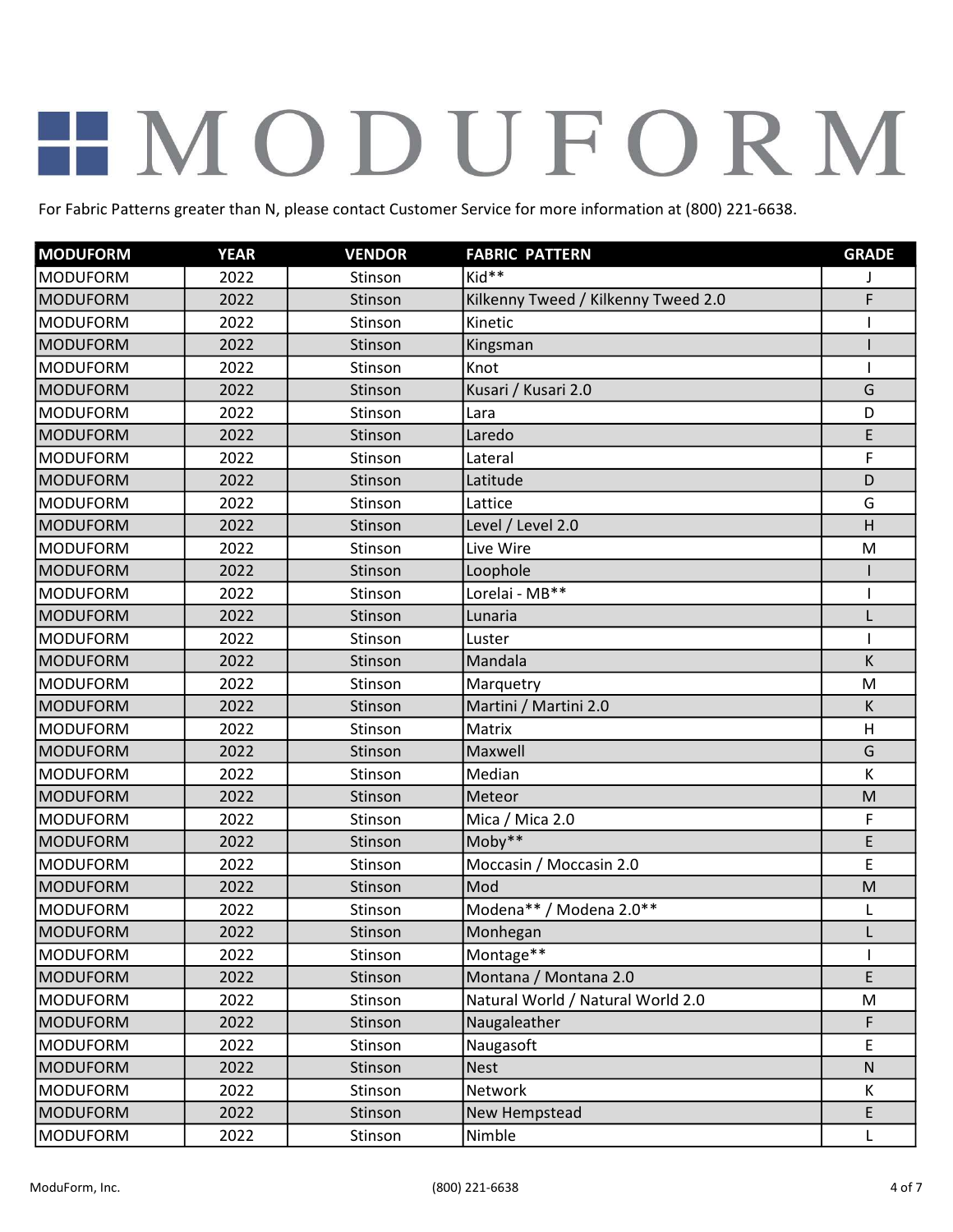| <b>MODUFORM</b> | <b>YEAR</b> | <b>VENDOR</b> | <b>FABRIC PATTERN</b>               | <b>GRADE</b> |
|-----------------|-------------|---------------|-------------------------------------|--------------|
| <b>MODUFORM</b> | 2022        | Stinson       | Kid**                               |              |
| <b>MODUFORM</b> | 2022        | Stinson       | Kilkenny Tweed / Kilkenny Tweed 2.0 | F            |
| <b>MODUFORM</b> | 2022        | Stinson       | Kinetic                             | T            |
| <b>MODUFORM</b> | 2022        | Stinson       | Kingsman                            |              |
| <b>MODUFORM</b> | 2022        | Stinson       | Knot                                | T            |
| <b>MODUFORM</b> | 2022        | Stinson       | Kusari / Kusari 2.0                 | G            |
| <b>MODUFORM</b> | 2022        | Stinson       | Lara                                | D            |
| <b>MODUFORM</b> | 2022        | Stinson       | Laredo                              | E            |
| <b>MODUFORM</b> | 2022        | Stinson       | Lateral                             | F            |
| <b>MODUFORM</b> | 2022        | Stinson       | Latitude                            | D            |
| <b>MODUFORM</b> | 2022        | Stinson       | Lattice                             | G            |
| <b>MODUFORM</b> | 2022        | Stinson       | Level / Level 2.0                   | H            |
| <b>MODUFORM</b> | 2022        | Stinson       | Live Wire                           | M            |
| <b>MODUFORM</b> | 2022        | Stinson       | Loophole                            |              |
| <b>MODUFORM</b> | 2022        | Stinson       | Lorelai - MB**                      | ı            |
| <b>MODUFORM</b> | 2022        | Stinson       | Lunaria                             | L            |
| <b>MODUFORM</b> | 2022        | Stinson       | Luster                              | T            |
| <b>MODUFORM</b> | 2022        | Stinson       | Mandala                             | K            |
| <b>MODUFORM</b> | 2022        | Stinson       | Marquetry                           | M            |
| <b>MODUFORM</b> | 2022        | Stinson       | Martini / Martini 2.0               | K            |
| <b>MODUFORM</b> | 2022        | Stinson       | Matrix                              | H            |
| <b>MODUFORM</b> | 2022        | Stinson       | Maxwell                             | G            |
| <b>MODUFORM</b> | 2022        | Stinson       | Median                              | К            |
| <b>MODUFORM</b> | 2022        | Stinson       | Meteor                              | M            |
| <b>MODUFORM</b> | 2022        | Stinson       | Mica / Mica 2.0                     | F            |
| <b>MODUFORM</b> | 2022        | Stinson       | $Moby**$                            | E            |
| <b>MODUFORM</b> | 2022        | Stinson       | Moccasin / Moccasin 2.0             | E            |
| <b>MODUFORM</b> | 2022        | Stinson       | Mod                                 | M            |
| <b>MODUFORM</b> | 2022        | Stinson       | Modena** / Modena 2.0**             | L            |
| MODUFORM        | 2022        | Stinson       | Monhegan                            | L            |
| <b>MODUFORM</b> | 2022        | Stinson       | Montage**                           |              |
| <b>MODUFORM</b> | 2022        | Stinson       | Montana / Montana 2.0               | E            |
| <b>MODUFORM</b> | 2022        | Stinson       | Natural World / Natural World 2.0   | M            |
| <b>MODUFORM</b> | 2022        | Stinson       | Naugaleather                        | F            |
| <b>MODUFORM</b> | 2022        | Stinson       | Naugasoft                           | E            |
| <b>MODUFORM</b> | 2022        | Stinson       | <b>Nest</b>                         | ${\sf N}$    |
| <b>MODUFORM</b> | 2022        | Stinson       | Network                             | K            |
| <b>MODUFORM</b> | 2022        | Stinson       | New Hempstead                       | E            |
| <b>MODUFORM</b> | 2022        | Stinson       | Nimble                              | L            |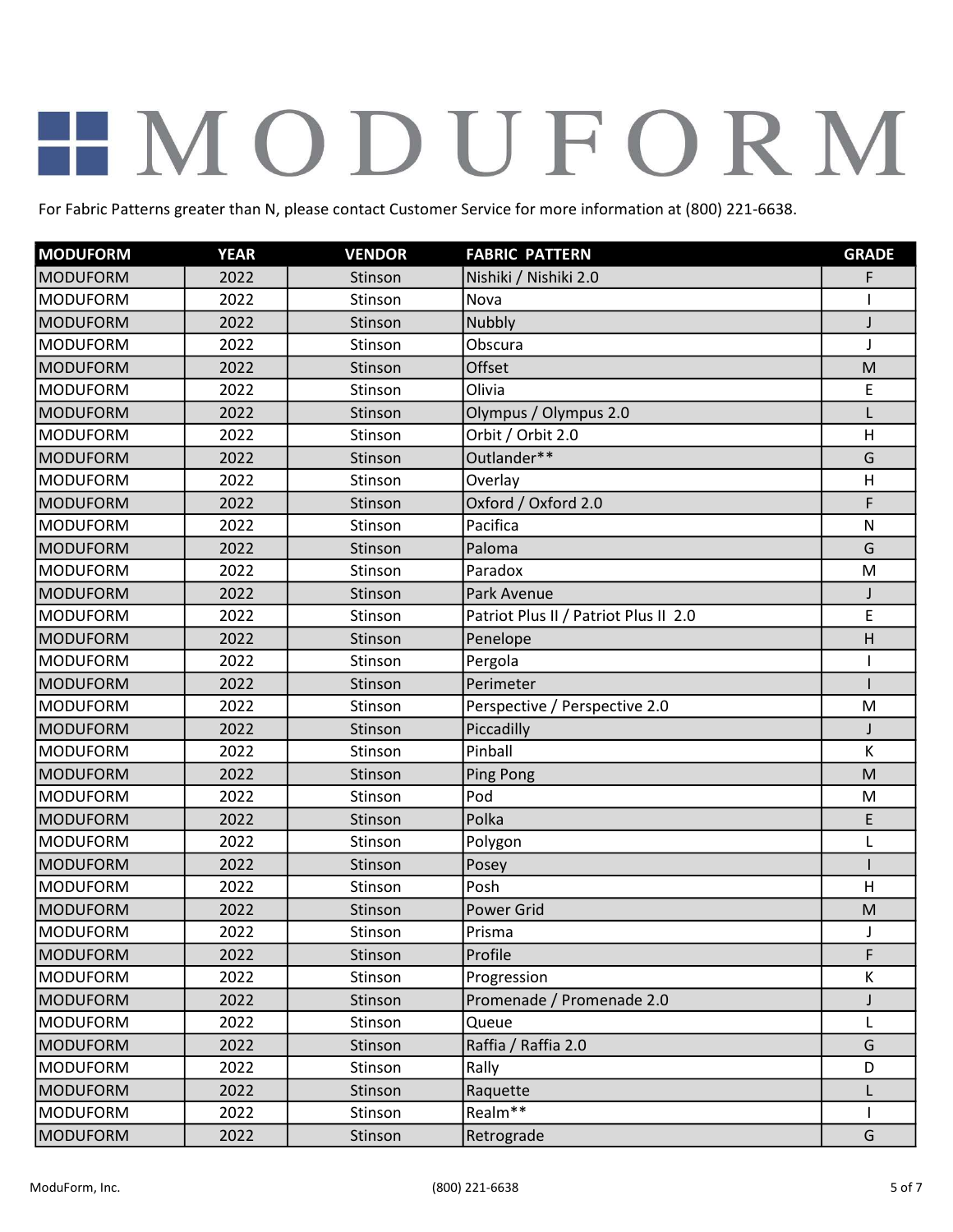| <b>MODUFORM</b> | <b>YEAR</b> | <b>VENDOR</b> | <b>FABRIC PATTERN</b>                 | <b>GRADE</b> |
|-----------------|-------------|---------------|---------------------------------------|--------------|
| <b>MODUFORM</b> | 2022        | Stinson       | Nishiki / Nishiki 2.0                 | F            |
| <b>MODUFORM</b> | 2022        | Stinson       | Nova                                  |              |
| <b>MODUFORM</b> | 2022        | Stinson       | Nubbly                                | J            |
| <b>MODUFORM</b> | 2022        | Stinson       | Obscura                               | J            |
| <b>MODUFORM</b> | 2022        | Stinson       | Offset                                | M            |
| <b>MODUFORM</b> | 2022        | Stinson       | Olivia                                | E            |
| <b>MODUFORM</b> | 2022        | Stinson       | Olympus / Olympus 2.0                 | L            |
| <b>MODUFORM</b> | 2022        | Stinson       | Orbit / Orbit 2.0                     | H            |
| <b>MODUFORM</b> | 2022        | Stinson       | Outlander**                           | G            |
| <b>MODUFORM</b> | 2022        | Stinson       | Overlay                               | H            |
| <b>MODUFORM</b> | 2022        | Stinson       | Oxford / Oxford 2.0                   | F            |
| <b>MODUFORM</b> | 2022        | Stinson       | Pacifica                              | $\mathsf{N}$ |
| <b>MODUFORM</b> | 2022        | Stinson       | Paloma                                | G            |
| <b>MODUFORM</b> | 2022        | Stinson       | Paradox                               | M            |
| <b>MODUFORM</b> | 2022        | Stinson       | Park Avenue                           | J            |
| <b>MODUFORM</b> | 2022        | Stinson       | Patriot Plus II / Patriot Plus II 2.0 | E            |
| <b>MODUFORM</b> | 2022        | Stinson       | Penelope                              | H            |
| <b>MODUFORM</b> | 2022        | Stinson       | Pergola                               |              |
| <b>MODUFORM</b> | 2022        | Stinson       | Perimeter                             |              |
| <b>MODUFORM</b> | 2022        | Stinson       | Perspective / Perspective 2.0         | M            |
| <b>MODUFORM</b> | 2022        | Stinson       | Piccadilly                            | J            |
| <b>MODUFORM</b> | 2022        | Stinson       | Pinball                               | К            |
| <b>MODUFORM</b> | 2022        | Stinson       | Ping Pong                             | M            |
| <b>MODUFORM</b> | 2022        | Stinson       | Pod                                   | M            |
| <b>MODUFORM</b> | 2022        | Stinson       | Polka                                 | E            |
| <b>MODUFORM</b> | 2022        | Stinson       | Polygon                               | L            |
| <b>MODUFORM</b> | 2022        | Stinson       | Posey                                 |              |
| <b>MODUFORM</b> | 2022        | Stinson       | Posh                                  | H            |
| <b>MODUFORM</b> | 2022        | Stinson       | <b>Power Grid</b>                     | M            |
| <b>MODUFORM</b> | 2022        | Stinson       | Prisma                                |              |
| MODUFORM        | 2022        | Stinson       | Profile                               | F            |
| <b>MODUFORM</b> | 2022        | Stinson       | Progression                           | К            |
| <b>MODUFORM</b> | 2022        | Stinson       | Promenade / Promenade 2.0             | J            |
| <b>MODUFORM</b> | 2022        | Stinson       | Queue                                 | L            |
| <b>MODUFORM</b> | 2022        | Stinson       | Raffia / Raffia 2.0                   | G            |
| <b>MODUFORM</b> | 2022        | Stinson       | Rally                                 | D            |
| <b>MODUFORM</b> | 2022        | Stinson       | Raquette                              | L            |
| <b>MODUFORM</b> | 2022        | Stinson       | Realm**                               | $\mathsf{I}$ |
| <b>MODUFORM</b> | 2022        | Stinson       | Retrograde                            | G            |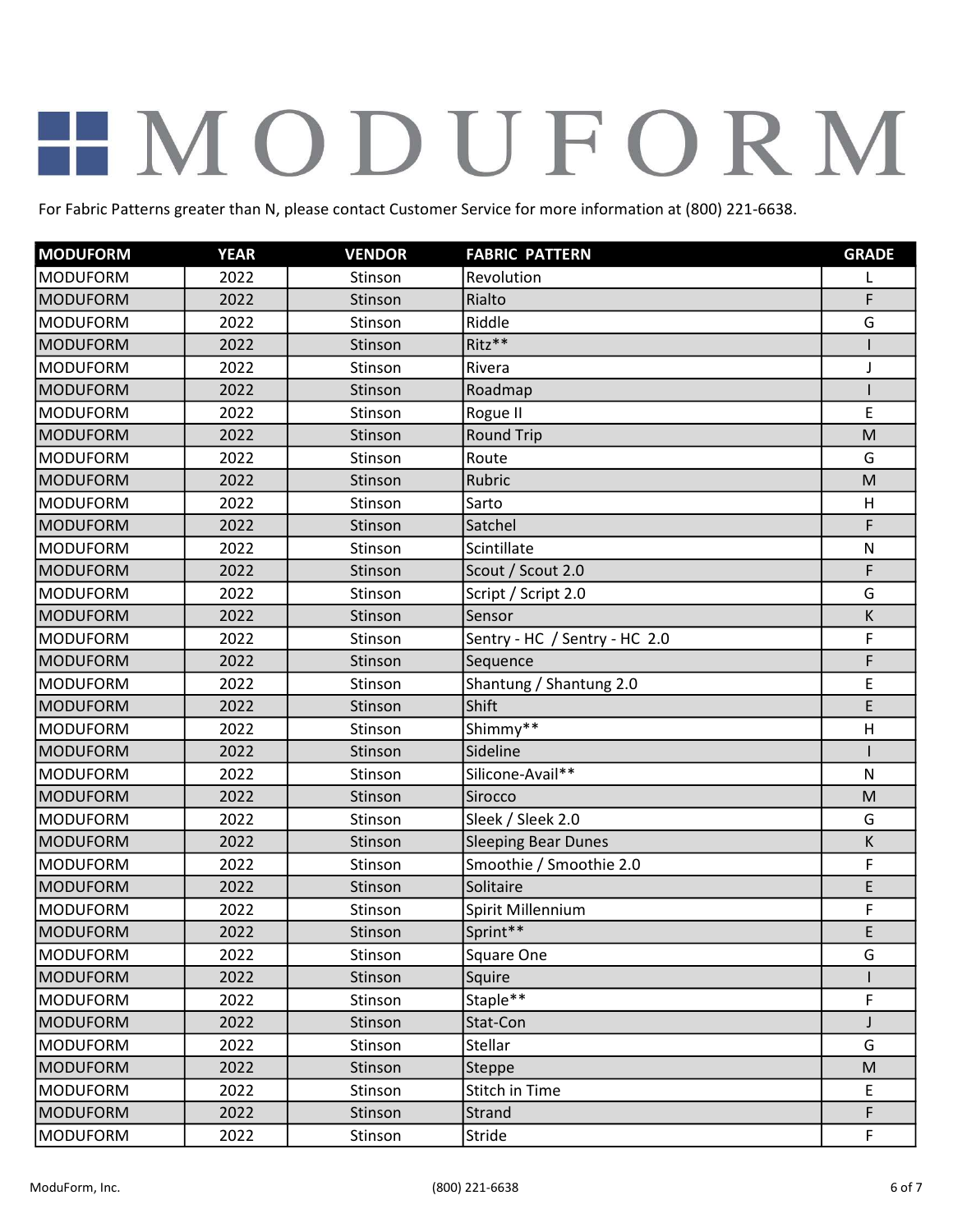| <b>MODUFORM</b> | <b>YEAR</b> | <b>VENDOR</b> | <b>FABRIC PATTERN</b>         | <b>GRADE</b> |
|-----------------|-------------|---------------|-------------------------------|--------------|
| <b>MODUFORM</b> | 2022        | Stinson       | Revolution                    | L            |
| <b>MODUFORM</b> | 2022        | Stinson       | Rialto                        | F            |
| <b>MODUFORM</b> | 2022        | Stinson       | Riddle                        | G            |
| <b>MODUFORM</b> | 2022        | Stinson       | Ritz**                        |              |
| <b>MODUFORM</b> | 2022        | Stinson       | Rivera                        | J            |
| <b>MODUFORM</b> | 2022        | Stinson       | Roadmap                       |              |
| <b>MODUFORM</b> | 2022        | Stinson       | Rogue II                      | E            |
| <b>MODUFORM</b> | 2022        | Stinson       | <b>Round Trip</b>             | M            |
| <b>MODUFORM</b> | 2022        | Stinson       | Route                         | G            |
| <b>MODUFORM</b> | 2022        | Stinson       | Rubric                        | M            |
| <b>MODUFORM</b> | 2022        | Stinson       | Sarto                         | Н            |
| <b>MODUFORM</b> | 2022        | Stinson       | Satchel                       | F            |
| <b>MODUFORM</b> | 2022        | Stinson       | Scintillate                   | $\mathsf{N}$ |
| <b>MODUFORM</b> | 2022        | Stinson       | Scout / Scout 2.0             | F            |
| <b>MODUFORM</b> | 2022        | Stinson       | Script / Script 2.0           | G            |
| <b>MODUFORM</b> | 2022        | Stinson       | Sensor                        | К            |
| <b>MODUFORM</b> | 2022        | Stinson       | Sentry - HC / Sentry - HC 2.0 | F            |
| <b>MODUFORM</b> | 2022        | Stinson       | Sequence                      | F            |
| <b>MODUFORM</b> | 2022        | Stinson       | Shantung / Shantung 2.0       | E            |
| <b>MODUFORM</b> | 2022        | Stinson       | Shift                         | E            |
| <b>MODUFORM</b> | 2022        | Stinson       | Shimmy**                      | H            |
| <b>MODUFORM</b> | 2022        | Stinson       | Sideline                      |              |
| <b>MODUFORM</b> | 2022        | Stinson       | Silicone-Avail**              | $\mathsf{N}$ |
| <b>MODUFORM</b> | 2022        | Stinson       | Sirocco                       | M            |
| <b>MODUFORM</b> | 2022        | Stinson       | Sleek / Sleek 2.0             | G            |
| <b>MODUFORM</b> | 2022        | Stinson       | <b>Sleeping Bear Dunes</b>    | Κ            |
| <b>MODUFORM</b> | 2022        | Stinson       | Smoothie / Smoothie 2.0       | F            |
| <b>MODUFORM</b> | 2022        | Stinson       | Solitaire                     | E            |
| <b>MODUFORM</b> | 2022        | Stinson       | Spirit Millennium             | F            |
| MODUFORM        | 2022        | Stinson       | Sprint**                      | E            |
| <b>MODUFORM</b> | 2022        | Stinson       | Square One                    | G            |
| <b>MODUFORM</b> | 2022        | Stinson       | Squire                        |              |
| <b>MODUFORM</b> | 2022        | Stinson       | Staple**                      | F            |
| <b>MODUFORM</b> | 2022        | Stinson       | Stat-Con                      | J            |
| <b>MODUFORM</b> | 2022        | Stinson       | Stellar                       | G            |
| <b>MODUFORM</b> | 2022        | Stinson       | Steppe                        | M            |
| <b>MODUFORM</b> | 2022        | Stinson       | Stitch in Time                | E            |
| <b>MODUFORM</b> | 2022        | Stinson       | Strand                        | F            |
| <b>MODUFORM</b> | 2022        | Stinson       | Stride                        | F            |